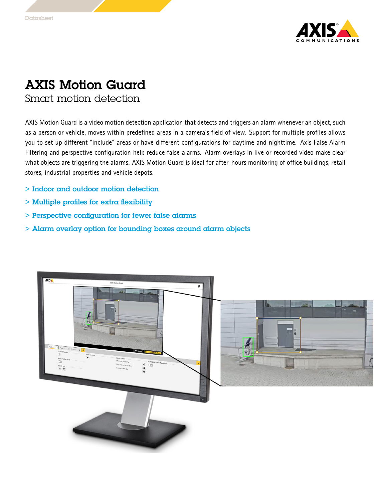

## AXIS Motion Guard

Smart motion detection

AXIS Motion Guard is <sup>a</sup> video motion detection application that detects and triggers an alarm whenever an object, such as <sup>a</sup> person or vehicle, moves within predefined areas in <sup>a</sup> camera's field of view. Support for multiple profiles allows you to set up different "include" areas or have different configurations for daytime and nighttime. Axis False Alarm Filtering and perspective configuration help reduce false alarms. Alarm overlays in live or recorded video make clear what objects are triggering the alarms. AXIS Motion Guard is ideal for after-hours monitoring of office buildings, retail stores, industrial properties and vehicle depots.

- > Indoor and outdoor motion detection
- > Multiple profiles for extra flexibility
- > Perspective configuration for fewer false alarms
- > Alarm overlay option for bounding boxes around alarm objects